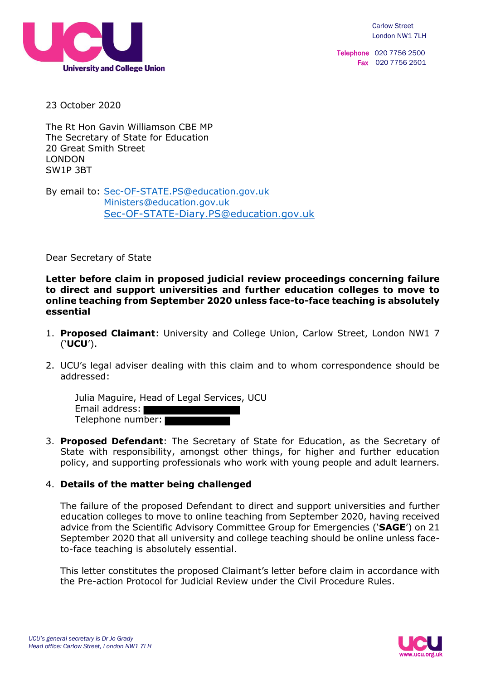

Telephone 020 7756 2500 Fax 020 7756 2501

23 October 2020

The Rt Hon Gavin Williamson CBE MP The Secretary of State for Education 20 Great Smith Street LONDON SW1P 3BT

By email to: Sec-OF-STATE.PS@education.gov.uk Ministers@education.gov.uk Sec-OF-STATE-Diary.PS@education.gov.uk

Dear Secretary of State

**Letter before claim in proposed judicial review proceedings concerning failure to direct and support universities and further education colleges to move to online teaching from September 2020 unless face-to-face teaching is absolutely essential** 

- 1. **Proposed Claimant**: University and College Union, Carlow Street, London NW1 7 ('**UCU**').
- 2. UCU's legal adviser dealing with this claim and to whom correspondence should be addressed:

Julia Maguire, Head of Legal Services, UCU Email address: Telephone number:

3. **Proposed Defendant**: The Secretary of State for Education, as the Secretary of State with responsibility, amongst other things, for higher and further education policy, and supporting professionals who work with young people and adult learners.

## 4. **Details of the matter being challenged**

The failure of the proposed Defendant to direct and support universities and further education colleges to move to online teaching from September 2020, having received advice from the Scientific Advisory Committee Group for Emergencies ('**SAGE**') on 21 September 2020 that all university and college teaching should be online unless faceto-face teaching is absolutely essential.

This letter constitutes the proposed Claimant's letter before claim in accordance with the Pre-action Protocol for Judicial Review under the Civil Procedure Rules.

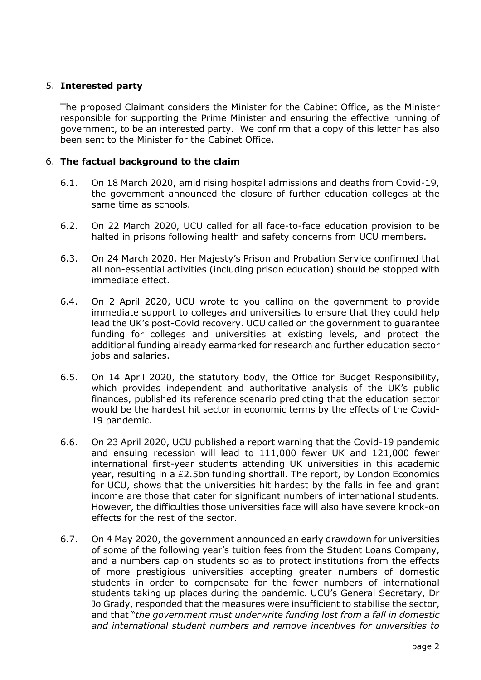# 5. **Interested party**

The proposed Claimant considers the Minister for the Cabinet Office, as the Minister responsible for supporting the Prime Minister and ensuring the effective running of government, to be an interested party. We confirm that a copy of this letter has also been sent to the Minister for the Cabinet Office.

### 6. **The factual background to the claim**

- 6.1. On 18 March 2020, amid rising hospital admissions and deaths from Covid-19, the government announced the closure of further education colleges at the same time as schools.
- 6.2. On 22 March 2020, UCU called for all face-to-face education provision to be halted in prisons following health and safety concerns from UCU members.
- 6.3. On 24 March 2020, Her Majesty's Prison and Probation Service confirmed that all non-essential activities (including prison education) should be stopped with immediate effect.
- 6.4. On 2 April 2020, UCU wrote to you calling on the government to provide immediate support to colleges and universities to ensure that they could help lead the UK's post-Covid recovery. UCU called on the government to guarantee funding for colleges and universities at existing levels, and protect the additional funding already earmarked for research and further education sector jobs and salaries.
- 6.5. On 14 April 2020, the statutory body, the Office for Budget Responsibility, which provides independent and authoritative analysis of the UK's public finances, published its reference scenario predicting that the education sector would be the hardest hit sector in economic terms by the effects of the Covid-19 pandemic.
- 6.6. On 23 April 2020, UCU published a report warning that the Covid-19 pandemic and ensuing recession will lead to 111,000 fewer UK and 121,000 fewer international first-year students attending UK universities in this academic year, resulting in a £2.5bn funding shortfall. The report, by London Economics for UCU, shows that the universities hit hardest by the falls in fee and grant income are those that cater for significant numbers of international students. However, the difficulties those universities face will also have severe knock-on effects for the rest of the sector.
- 6.7. On 4 May 2020, the government announced an early drawdown for universities of some of the following year's tuition fees from the Student Loans Company, and a numbers cap on students so as to protect institutions from the effects of more prestigious universities accepting greater numbers of domestic students in order to compensate for the fewer numbers of international students taking up places during the pandemic. UCU's General Secretary, Dr Jo Grady, responded that the measures were insufficient to stabilise the sector, and that "*the government must underwrite funding lost from a fall in domestic and international student numbers and remove incentives for universities to*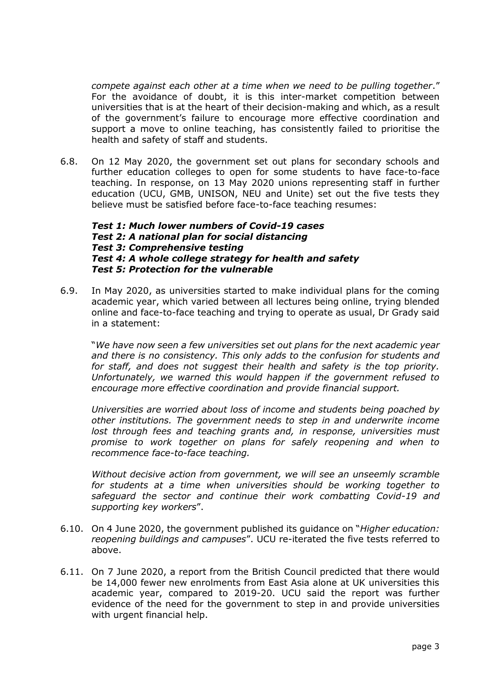*compete against each other at a time when we need to be pulling together*." For the avoidance of doubt, it is this inter-market competition between universities that is at the heart of their decision-making and which, as a result of the government's failure to encourage more effective coordination and support a move to online teaching, has consistently failed to prioritise the health and safety of staff and students.

6.8. On 12 May 2020, the government set out plans for secondary schools and further education colleges to open for some students to have face-to-face teaching. In response, on 13 May 2020 unions representing staff in further education (UCU, GMB, UNISON, NEU and Unite) set out the five tests they believe must be satisfied before face-to-face teaching resumes:

#### *Test 1: Much lower numbers of Covid-19 cases Test 2: A national plan for social distancing Test 3: Comprehensive testing Test 4: A whole college strategy for health and safety Test 5: Protection for the vulnerable*

6.9. In May 2020, as universities started to make individual plans for the coming academic year, which varied between all lectures being online, trying blended online and face-to-face teaching and trying to operate as usual, Dr Grady said in a statement:

"*We have now seen a few universities set out plans for the next academic year and there is no consistency. This only adds to the confusion for students and for staff, and does not suggest their health and safety is the top priority. Unfortunately, we warned this would happen if the government refused to encourage more effective coordination and provide financial support.* 

 *Universities are worried about loss of income and students being poached by other institutions. The government needs to step in and underwrite income*  lost through fees and teaching grants and, in response, universities must *promise to work together on plans for safely reopening and when to recommence face-to-face teaching.* 

 *Without decisive action from government, we will see an unseemly scramble for students at a time when universities should be working together to safeguard the sector and continue their work combatting Covid-19 and supporting key workers*".

- 6.10. On 4 June 2020, the government published its guidance on "*Higher education: reopening buildings and campuses*". UCU re-iterated the five tests referred to above.
- 6.11. On 7 June 2020, a report from the British Council predicted that there would be 14,000 fewer new enrolments from East Asia alone at UK universities this academic year, compared to 2019-20. UCU said the report was further evidence of the need for the government to step in and provide universities with urgent financial help.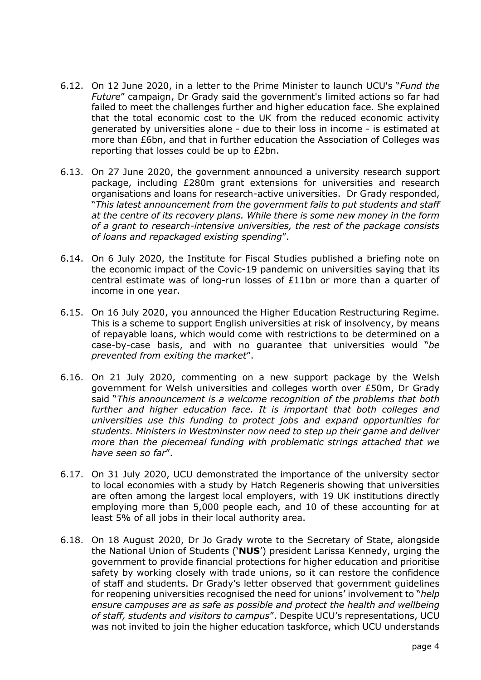- 6.12. On 12 June 2020, in a letter to the Prime Minister to launch UCU's "*Fund the Future*" campaign, Dr Grady said the government's limited actions so far had failed to meet the challenges further and higher education face. She explained that the total economic cost to the UK from the reduced economic activity generated by universities alone - due to their loss in income - is estimated at more than £6bn, and that in further education the Association of Colleges was reporting that losses could be up to £2bn.
- 6.13. On 27 June 2020, the government announced a university research support package, including £280m grant extensions for universities and research organisations and loans for research-active universities. Dr Grady responded, "*This latest announcement from the government fails to put students and staff at the centre of its recovery plans. While there is some new money in the form of a grant to research-intensive universities, the rest of the package consists of loans and repackaged existing spending*".
- 6.14. On 6 July 2020, the Institute for Fiscal Studies published a briefing note on the economic impact of the Covic-19 pandemic on universities saying that its central estimate was of long-run losses of £11bn or more than a quarter of income in one year.
- 6.15. On 16 July 2020, you announced the Higher Education Restructuring Regime. This is a scheme to support English universities at risk of insolvency, by means of repayable loans, which would come with restrictions to be determined on a case-by-case basis, and with no guarantee that universities would "*be prevented from exiting the market*".
- 6.16. On 21 July 2020, commenting on a new support package by the Welsh government for Welsh universities and colleges worth over £50m, Dr Grady said "*This announcement is a welcome recognition of the problems that both further and higher education face. It is important that both colleges and universities use this funding to protect jobs and expand opportunities for students. Ministers in Westminster now need to step up their game and deliver more than the piecemeal funding with problematic strings attached that we have seen so far*".
- 6.17. On 31 July 2020, UCU demonstrated the importance of the university sector to local economies with a study by Hatch Regeneris showing that universities are often among the largest local employers, with 19 UK institutions directly employing more than 5,000 people each, and 10 of these accounting for at least 5% of all jobs in their local authority area.
- 6.18. On 18 August 2020, Dr Jo Grady wrote to the Secretary of State, alongside the National Union of Students ('**NUS**') president Larissa Kennedy, urging the government to provide financial protections for higher education and prioritise safety by working closely with trade unions, so it can restore the confidence of staff and students. Dr Grady's letter observed that government guidelines for reopening universities recognised the need for unions' involvement to "*help ensure campuses are as safe as possible and protect the health and wellbeing of staff, students and visitors to campus*". Despite UCU's representations, UCU was not invited to join the higher education taskforce, which UCU understands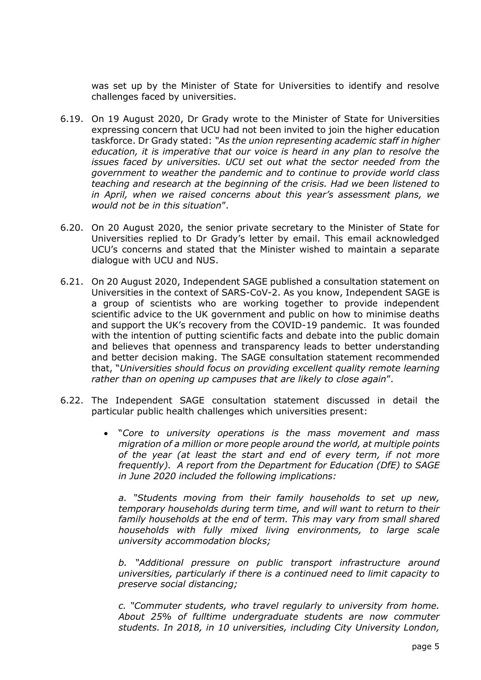was set up by the Minister of State for Universities to identify and resolve challenges faced by universities.

- 6.19. On 19 August 2020, Dr Grady wrote to the Minister of State for Universities expressing concern that UCU had not been invited to join the higher education taskforce. Dr Grady stated: *"As the union representing academic staff in higher education, it is imperative that our voice is heard in any plan to resolve the issues faced by universities. UCU set out what the sector needed from the government to weather the pandemic and to continue to provide world class teaching and research at the beginning of the crisis. Had we been listened to in April, when we raised concerns about this year's assessment plans, we would not be in this situation*".
- 6.20. On 20 August 2020, the senior private secretary to the Minister of State for Universities replied to Dr Grady's letter by email. This email acknowledged UCU's concerns and stated that the Minister wished to maintain a separate dialogue with UCU and NUS.
- 6.21. On 20 August 2020, Independent SAGE published a consultation statement on Universities in the context of SARS-CoV-2. As you know, Independent SAGE is a group of scientists who are working together to provide independent scientific advice to the UK government and public on how to minimise deaths and support the UK's recovery from the COVID-19 pandemic. It was founded with the intention of putting scientific facts and debate into the public domain and believes that openness and transparency leads to better understanding and better decision making. The SAGE consultation statement recommended that, "*Universities should focus on providing excellent quality remote learning rather than on opening up campuses that are likely to close again*".
- 6.22. The Independent SAGE consultation statement discussed in detail the particular public health challenges which universities present:
	- "*Core to university operations is the mass movement and mass migration of a million or more people around the world, at multiple points of the year (at least the start and end of every term, if not more frequently). A report from the Department for Education (DfE) to SAGE in June 2020 included the following implications:*

*a. "Students moving from their family households to set up new, temporary households during term time, and will want to return to their family households at the end of term. This may vary from small shared households with fully mixed living environments, to large scale university accommodation blocks;* 

*b. "Additional pressure on public transport infrastructure around universities, particularly if there is a continued need to limit capacity to preserve social distancing;* 

*c. "Commuter students, who travel regularly to university from home. About 25% of fulltime undergraduate students are now commuter students. In 2018, in 10 universities, including City University London,*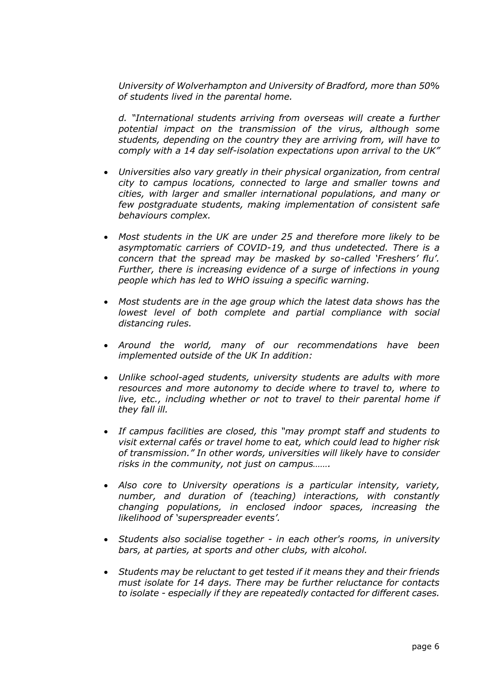*University of Wolverhampton and University of Bradford, more than 50% of students lived in the parental home.* 

*d. "International students arriving from overseas will create a further potential impact on the transmission of the virus, although some students, depending on the country they are arriving from, will have to comply with a 14 day self-isolation expectations upon arrival to the UK"* 

- *Universities also vary greatly in their physical organization, from central city to campus locations, connected to large and smaller towns and cities, with larger and smaller international populations, and many or few postgraduate students, making implementation of consistent safe behaviours complex.*
- *Most students in the UK are under 25 and therefore more likely to be asymptomatic carriers of COVID-19, and thus undetected. There is a concern that the spread may be masked by so-called 'Freshers' flu'. Further, there is increasing evidence of a surge of infections in young people which has led to WHO issuing a specific warning.*
- *Most students are in the age group which the latest data shows has the*  lowest level of both complete and partial compliance with social *distancing rules.*
- *Around the world, many of our recommendations have been implemented outside of the UK In addition:*
- *Unlike school-aged students, university students are adults with more resources and more autonomy to decide where to travel to, where to*  live, etc., including whether or not to travel to their parental home if *they fall ill.*
- *If campus facilities are closed, this "may prompt staff and students to visit external cafés or travel home to eat, which could lead to higher risk of transmission." In other words, universities will likely have to consider risks in the community, not just on campus…….*
- *Also core to University operations is a particular intensity, variety, number, and duration of (teaching) interactions, with constantly changing populations, in enclosed indoor spaces, increasing the likelihood of 'superspreader events'.*
- *Students also socialise together in each other's rooms, in university bars, at parties, at sports and other clubs, with alcohol.*
- *Students may be reluctant to get tested if it means they and their friends must isolate for 14 days. There may be further reluctance for contacts to isolate - especially if they are repeatedly contacted for different cases.*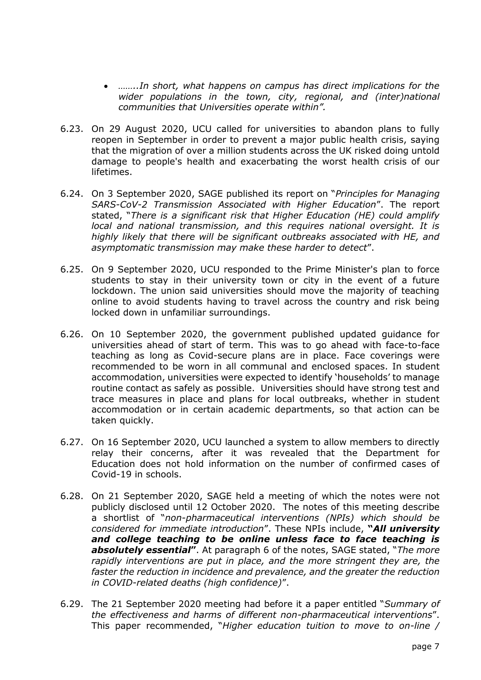- *……..In short, what happens on campus has direct implications for the wider populations in the town, city, regional, and (inter)national communities that Universities operate within".*
- 6.23. On 29 August 2020, UCU called for universities to abandon plans to fully reopen in September in order to prevent a major public health crisis, saying that the migration of over a million students across the UK risked doing untold damage to people's health and exacerbating the worst health crisis of our lifetimes.
- 6.24. On 3 September 2020, SAGE published its report on "*Principles for Managing SARS-CoV-2 Transmission Associated with Higher Education*". The report stated, "*There is a significant risk that Higher Education (HE) could amplify local and national transmission, and this requires national oversight. It is highly likely that there will be significant outbreaks associated with HE, and asymptomatic transmission may make these harder to detect*".
- 6.25. On 9 September 2020, UCU responded to the Prime Minister's plan to force students to stay in their university town or city in the event of a future lockdown. The union said universities should move the majority of teaching online to avoid students having to travel across the country and risk being locked down in unfamiliar surroundings.
- 6.26. On 10 September 2020, the government published updated guidance for universities ahead of start of term. This was to go ahead with face-to-face teaching as long as Covid-secure plans are in place. Face coverings were recommended to be worn in all communal and enclosed spaces. In student accommodation, universities were expected to identify 'households' to manage routine contact as safely as possible. Universities should have strong test and trace measures in place and plans for local outbreaks, whether in student accommodation or in certain academic departments, so that action can be taken quickly.
- 6.27. On 16 September 2020, UCU launched a system to allow members to directly relay their concerns, after it was revealed that the Department for Education does not hold information on the number of confirmed cases of Covid-19 in schools.
- 6.28. On 21 September 2020, SAGE held a meeting of which the notes were not publicly disclosed until 12 October 2020. The notes of this meeting describe a shortlist of "*non-pharmaceutical interventions (NPIs) which should be considered for immediate introduction*". These NPIs include, **"***All university and college teaching to be online unless face to face teaching is absolutely essential***"**. At paragraph 6 of the notes, SAGE stated, "*The more rapidly interventions are put in place, and the more stringent they are, the faster the reduction in incidence and prevalence, and the greater the reduction in COVID-related deaths (high confidence)*".
- 6.29. The 21 September 2020 meeting had before it a paper entitled "*Summary of the effectiveness and harms of different non-pharmaceutical interventions*". This paper recommended, "*Higher education tuition to move to on-line /*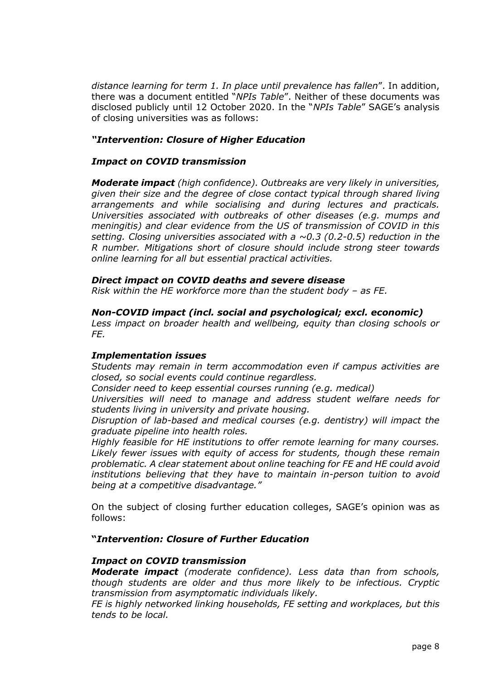*distance learning for term 1. In place until prevalence has fallen*". In addition, there was a document entitled "*NPIs Table*". Neither of these documents was disclosed publicly until 12 October 2020. In the "*NPIs Table*" SAGE's analysis of closing universities was as follows:

### *"Intervention: Closure of Higher Education*

#### *Impact on COVID transmission*

*Moderate impact (high confidence). Outbreaks are very likely in universities, given their size and the degree of close contact typical through shared living arrangements and while socialising and during lectures and practicals. Universities associated with outbreaks of other diseases (e.g. mumps and meningitis) and clear evidence from the US of transmission of COVID in this setting. Closing universities associated with a ~0.3 (0.2-0.5) reduction in the R number. Mitigations short of closure should include strong steer towards online learning for all but essential practical activities.* 

### *Direct impact on COVID deaths and severe disease*

*Risk within the HE workforce more than the student body – as FE.* 

#### *Non-COVID impact (incl. social and psychological; excl. economic)*

*Less impact on broader health and wellbeing, equity than closing schools or FE.* 

#### *Implementation issues*

*Students may remain in term accommodation even if campus activities are closed, so social events could continue regardless.* 

*Consider need to keep essential courses running (e.g. medical)* 

*Universities will need to manage and address student welfare needs for students living in university and private housing.* 

*Disruption of lab-based and medical courses (e.g. dentistry) will impact the graduate pipeline into health roles.* 

*Highly feasible for HE institutions to offer remote learning for many courses. Likely fewer issues with equity of access for students, though these remain problematic. A clear statement about online teaching for FE and HE could avoid institutions believing that they have to maintain in-person tuition to avoid being at a competitive disadvantage."*

On the subject of closing further education colleges, SAGE's opinion was as follows:

#### **"***Intervention: Closure of Further Education*

#### *Impact on COVID transmission*

*Moderate impact (moderate confidence). Less data than from schools, though students are older and thus more likely to be infectious. Cryptic transmission from asymptomatic individuals likely.* 

*FE is highly networked linking households, FE setting and workplaces, but this tends to be local.*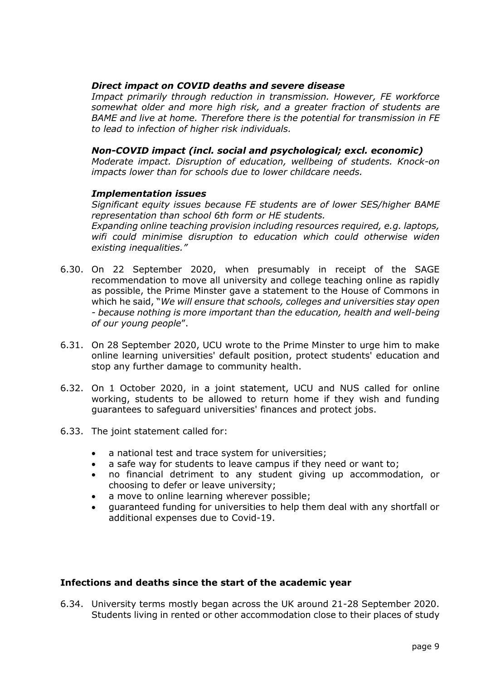### *Direct impact on COVID deaths and severe disease*

*Impact primarily through reduction in transmission. However, FE workforce somewhat older and more high risk, and a greater fraction of students are BAME and live at home. Therefore there is the potential for transmission in FE to lead to infection of higher risk individuals.* 

## *Non-COVID impact (incl. social and psychological; excl. economic)*

*Moderate impact. Disruption of education, wellbeing of students. Knock-on impacts lower than for schools due to lower childcare needs.*

#### *Implementation issues*

*Significant equity issues because FE students are of lower SES/higher BAME representation than school 6th form or HE students. Expanding online teaching provision including resources required, e.g. laptops, wifi could minimise disruption to education which could otherwise widen* 

*existing inequalities."*

- 6.30. On 22 September 2020, when presumably in receipt of the SAGE recommendation to move all university and college teaching online as rapidly as possible, the Prime Minster gave a statement to the House of Commons in which he said, "*We will ensure that schools, colleges and universities stay open - because nothing is more important than the education, health and well-being of our young people*".
- 6.31. On 28 September 2020, UCU wrote to the Prime Minster to urge him to make online learning universities' default position, protect students' education and stop any further damage to community health.
- 6.32. On 1 October 2020, in a joint statement, UCU and NUS called for online working, students to be allowed to return home if they wish and funding guarantees to safeguard universities' finances and protect jobs.
- 6.33. The joint statement called for:
	- a national test and trace system for universities;
	- a safe way for students to leave campus if they need or want to;
	- no financial detriment to any student giving up accommodation, or choosing to defer or leave university;
	- a move to online learning wherever possible;
	- guaranteed funding for universities to help them deal with any shortfall or additional expenses due to Covid-19.

## **Infections and deaths since the start of the academic year**

6.34. University terms mostly began across the UK around 21-28 September 2020. Students living in rented or other accommodation close to their places of study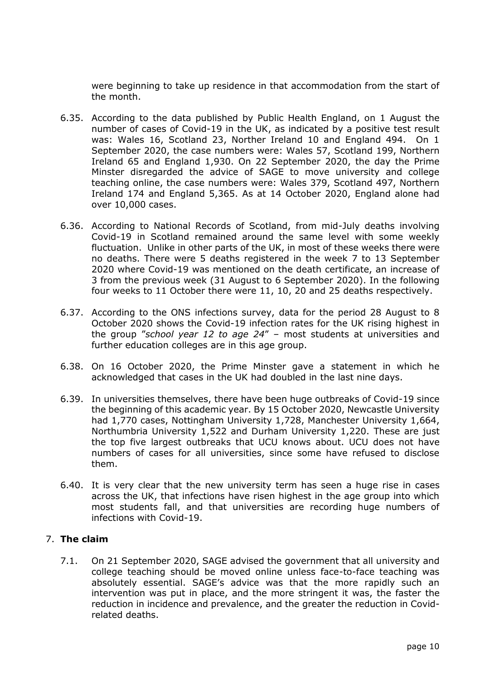were beginning to take up residence in that accommodation from the start of the month.

- 6.35. According to the data published by Public Health England, on 1 August the number of cases of Covid-19 in the UK, as indicated by a positive test result was: Wales 16, Scotland 23, Norther Ireland 10 and England 494. On 1 September 2020, the case numbers were: Wales 57, Scotland 199, Northern Ireland 65 and England 1,930. On 22 September 2020, the day the Prime Minster disregarded the advice of SAGE to move university and college teaching online, the case numbers were: Wales 379, Scotland 497, Northern Ireland 174 and England 5,365. As at 14 October 2020, England alone had over 10,000 cases.
- 6.36. According to National Records of Scotland, from mid-July deaths involving Covid-19 in Scotland remained around the same level with some weekly fluctuation. Unlike in other parts of the UK, in most of these weeks there were no deaths. There were 5 deaths registered in the week 7 to 13 September 2020 where Covid-19 was mentioned on the death certificate, an increase of 3 from the previous week (31 August to 6 September 2020). In the following four weeks to 11 October there were 11, 10, 20 and 25 deaths respectively.
- 6.37. According to the ONS infections survey, data for the period 28 August to 8 October 2020 shows the Covid-19 infection rates for the UK rising highest in the group "*school year 12 to age 24*" – most students at universities and further education colleges are in this age group.
- 6.38. On 16 October 2020, the Prime Minster gave a statement in which he acknowledged that cases in the UK had doubled in the last nine days.
- 6.39. In universities themselves, there have been huge outbreaks of Covid-19 since the beginning of this academic year. By 15 October 2020, Newcastle University had 1,770 cases, Nottingham University 1,728, Manchester University 1,664, Northumbria University 1,522 and Durham University 1,220. These are just the top five largest outbreaks that UCU knows about. UCU does not have numbers of cases for all universities, since some have refused to disclose them.
- 6.40. It is very clear that the new university term has seen a huge rise in cases across the UK, that infections have risen highest in the age group into which most students fall, and that universities are recording huge numbers of infections with Covid-19.

#### 7. **The claim**

7.1. On 21 September 2020, SAGE advised the government that all university and college teaching should be moved online unless face-to-face teaching was absolutely essential. SAGE's advice was that the more rapidly such an intervention was put in place, and the more stringent it was, the faster the reduction in incidence and prevalence, and the greater the reduction in Covidrelated deaths.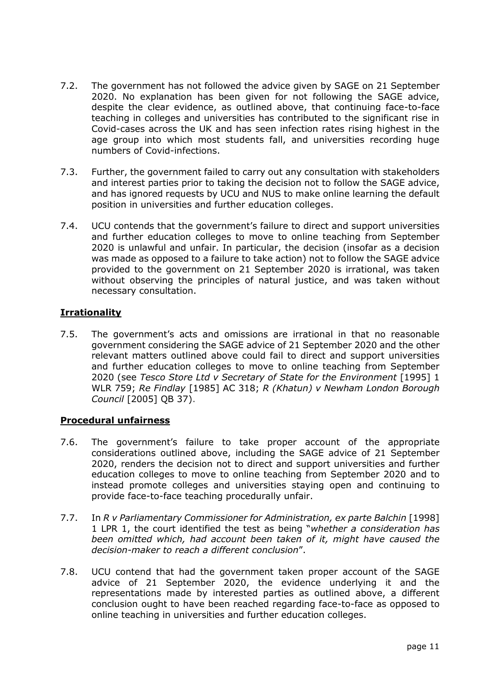- 7.2. The government has not followed the advice given by SAGE on 21 September 2020. No explanation has been given for not following the SAGE advice, despite the clear evidence, as outlined above, that continuing face-to-face teaching in colleges and universities has contributed to the significant rise in Covid-cases across the UK and has seen infection rates rising highest in the age group into which most students fall, and universities recording huge numbers of Covid-infections.
- 7.3. Further, the government failed to carry out any consultation with stakeholders and interest parties prior to taking the decision not to follow the SAGE advice, and has ignored requests by UCU and NUS to make online learning the default position in universities and further education colleges.
- 7.4. UCU contends that the government's failure to direct and support universities and further education colleges to move to online teaching from September 2020 is unlawful and unfair. In particular, the decision (insofar as a decision was made as opposed to a failure to take action) not to follow the SAGE advice provided to the government on 21 September 2020 is irrational, was taken without observing the principles of natural justice, and was taken without necessary consultation.

# **Irrationality**

7.5. The government's acts and omissions are irrational in that no reasonable government considering the SAGE advice of 21 September 2020 and the other relevant matters outlined above could fail to direct and support universities and further education colleges to move to online teaching from September 2020 (see *Tesco Store Ltd v Secretary of State for the Environment* [1995] 1 WLR 759; *Re Findlay* [1985] AC 318; *R (Khatun) v Newham London Borough Council* [2005] QB 37).

## **Procedural unfairness**

- 7.6. The government's failure to take proper account of the appropriate considerations outlined above, including the SAGE advice of 21 September 2020, renders the decision not to direct and support universities and further education colleges to move to online teaching from September 2020 and to instead promote colleges and universities staying open and continuing to provide face-to-face teaching procedurally unfair.
- 7.7. In *R v Parliamentary Commissioner for Administration, ex parte Balchin* [1998] 1 LPR 1, the court identified the test as being "*whether a consideration has been omitted which, had account been taken of it, might have caused the decision-maker to reach a different conclusion*".
- 7.8. UCU contend that had the government taken proper account of the SAGE advice of 21 September 2020, the evidence underlying it and the representations made by interested parties as outlined above, a different conclusion ought to have been reached regarding face-to-face as opposed to online teaching in universities and further education colleges.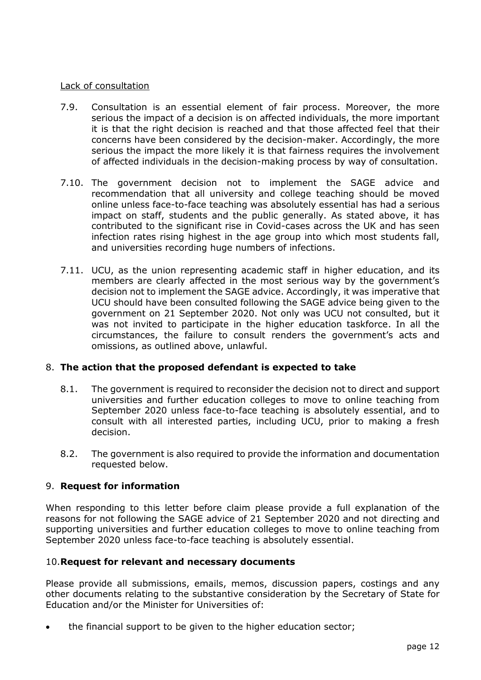### Lack of consultation

- 7.9. Consultation is an essential element of fair process. Moreover, the more serious the impact of a decision is on affected individuals, the more important it is that the right decision is reached and that those affected feel that their concerns have been considered by the decision-maker. Accordingly, the more serious the impact the more likely it is that fairness requires the involvement of affected individuals in the decision-making process by way of consultation.
- 7.10. The government decision not to implement the SAGE advice and recommendation that all university and college teaching should be moved online unless face-to-face teaching was absolutely essential has had a serious impact on staff, students and the public generally. As stated above, it has contributed to the significant rise in Covid-cases across the UK and has seen infection rates rising highest in the age group into which most students fall, and universities recording huge numbers of infections.
- 7.11. UCU, as the union representing academic staff in higher education, and its members are clearly affected in the most serious way by the government's decision not to implement the SAGE advice. Accordingly, it was imperative that UCU should have been consulted following the SAGE advice being given to the government on 21 September 2020. Not only was UCU not consulted, but it was not invited to participate in the higher education taskforce. In all the circumstances, the failure to consult renders the government's acts and omissions, as outlined above, unlawful.

## 8. **The action that the proposed defendant is expected to take**

- 8.1. The government is required to reconsider the decision not to direct and support universities and further education colleges to move to online teaching from September 2020 unless face-to-face teaching is absolutely essential, and to consult with all interested parties, including UCU, prior to making a fresh decision.
- 8.2. The government is also required to provide the information and documentation requested below.

## 9. **Request for information**

When responding to this letter before claim please provide a full explanation of the reasons for not following the SAGE advice of 21 September 2020 and not directing and supporting universities and further education colleges to move to online teaching from September 2020 unless face-to-face teaching is absolutely essential.

## 10.**Request for relevant and necessary documents**

Please provide all submissions, emails, memos, discussion papers, costings and any other documents relating to the substantive consideration by the Secretary of State for Education and/or the Minister for Universities of:

the financial support to be given to the higher education sector;